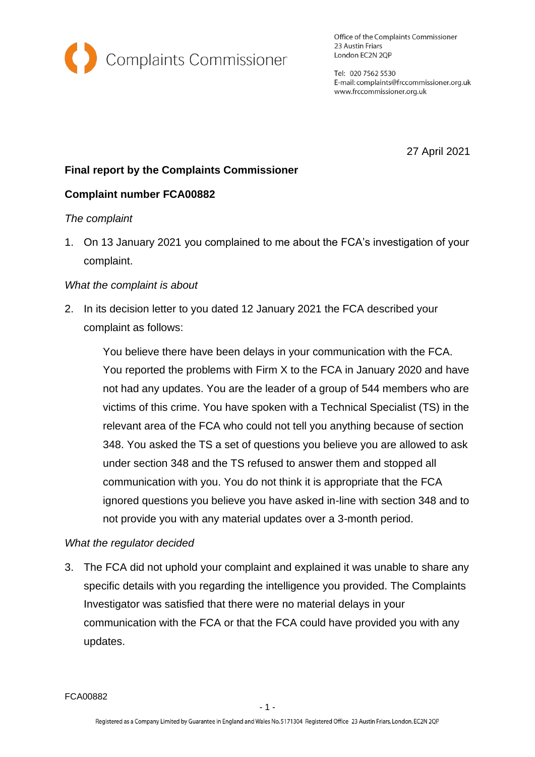

Office of the Complaints Commissioner 23 Austin Friars London EC2N 2QP

Tel: 020 7562 5530 E-mail: complaints@frccommissioner.org.uk www.frccommissioner.org.uk

27 April 2021

# **Final report by the Complaints Commissioner**

## **Complaint number FCA00882**

### *The complaint*

1. On 13 January 2021 you complained to me about the FCA's investigation of your complaint.

### *What the complaint is about*

2. In its decision letter to you dated 12 January 2021 the FCA described your complaint as follows:

You believe there have been delays in your communication with the FCA. You reported the problems with Firm X to the FCA in January 2020 and have not had any updates. You are the leader of a group of 544 members who are victims of this crime. You have spoken with a Technical Specialist (TS) in the relevant area of the FCA who could not tell you anything because of section 348. You asked the TS a set of questions you believe you are allowed to ask under section 348 and the TS refused to answer them and stopped all communication with you. You do not think it is appropriate that the FCA ignored questions you believe you have asked in-line with section 348 and to not provide you with any material updates over a 3-month period.

### *What the regulator decided*

3. The FCA did not uphold your complaint and explained it was unable to share any specific details with you regarding the intelligence you provided. The Complaints Investigator was satisfied that there were no material delays in your communication with the FCA or that the FCA could have provided you with any updates.

FCA00882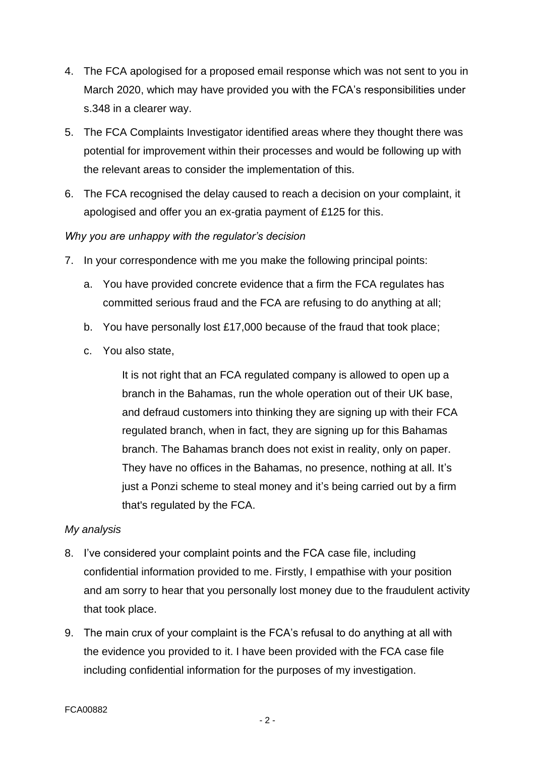- 4. The FCA apologised for a proposed email response which was not sent to you in March 2020, which may have provided you with the FCA's responsibilities under s.348 in a clearer way.
- 5. The FCA Complaints Investigator identified areas where they thought there was potential for improvement within their processes and would be following up with the relevant areas to consider the implementation of this.
- 6. The FCA recognised the delay caused to reach a decision on your complaint, it apologised and offer you an ex-gratia payment of £125 for this.

### *Why you are unhappy with the regulator's decision*

- 7. In your correspondence with me you make the following principal points:
	- a. You have provided concrete evidence that a firm the FCA regulates has committed serious fraud and the FCA are refusing to do anything at all;
	- b. You have personally lost £17,000 because of the fraud that took place;
	- c. You also state,

It is not right that an FCA regulated company is allowed to open up a branch in the Bahamas, run the whole operation out of their UK base, and defraud customers into thinking they are signing up with their FCA regulated branch, when in fact, they are signing up for this Bahamas branch. The Bahamas branch does not exist in reality, only on paper. They have no offices in the Bahamas, no presence, nothing at all. It's just a Ponzi scheme to steal money and it's being carried out by a firm that's regulated by the FCA.

### *My analysis*

- 8. I've considered your complaint points and the FCA case file, including confidential information provided to me. Firstly, I empathise with your position and am sorry to hear that you personally lost money due to the fraudulent activity that took place.
- 9. The main crux of your complaint is the FCA's refusal to do anything at all with the evidence you provided to it. I have been provided with the FCA case file including confidential information for the purposes of my investigation.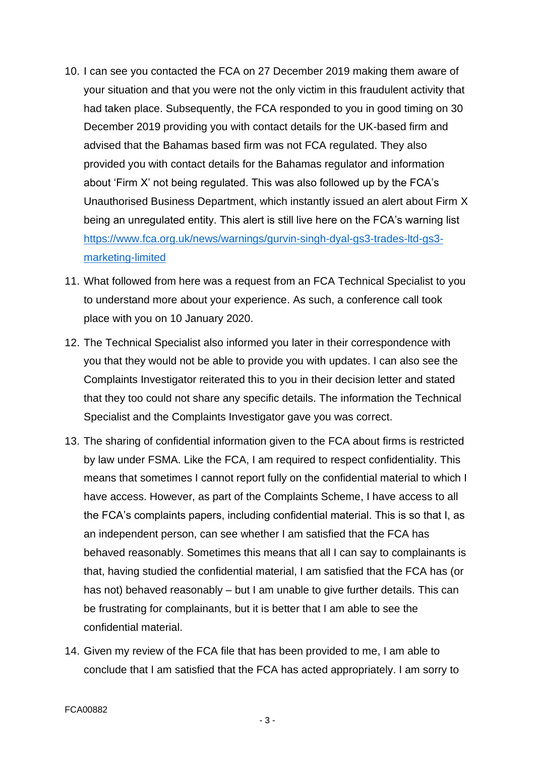- 10. I can see you contacted the FCA on 27 December 2019 making them aware of your situation and that you were not the only victim in this fraudulent activity that had taken place. Subsequently, the FCA responded to you in good timing on 30 December 2019 providing you with contact details for the UK-based firm and advised that the Bahamas based firm was not FCA regulated. They also provided you with contact details for the Bahamas regulator and information about 'Firm X' not being regulated. This was also followed up by the FCA's Unauthorised Business Department, which instantly issued an alert about Firm X being an unregulated entity. This alert is still live here on the FCA's warning list [https://www.fca.org.uk/news/warnings/gurvin-singh-dyal-gs3-trades-ltd-gs3](https://www.fca.org.uk/news/warnings/gurvin-singh-dyal-gs3-trades-ltd-gs3-marketing-limited) [marketing-limited](https://www.fca.org.uk/news/warnings/gurvin-singh-dyal-gs3-trades-ltd-gs3-marketing-limited)
- 11. What followed from here was a request from an FCA Technical Specialist to you to understand more about your experience. As such, a conference call took place with you on 10 January 2020.
- 12. The Technical Specialist also informed you later in their correspondence with you that they would not be able to provide you with updates. I can also see the Complaints Investigator reiterated this to you in their decision letter and stated that they too could not share any specific details. The information the Technical Specialist and the Complaints Investigator gave you was correct.
- 13. The sharing of confidential information given to the FCA about firms is restricted by law under FSMA. Like the FCA, I am required to respect confidentiality. This means that sometimes I cannot report fully on the confidential material to which I have access. However, as part of the Complaints Scheme, I have access to all the FCA's complaints papers, including confidential material. This is so that I, as an independent person, can see whether I am satisfied that the FCA has behaved reasonably. Sometimes this means that all I can say to complainants is that, having studied the confidential material, I am satisfied that the FCA has (or has not) behaved reasonably – but I am unable to give further details. This can be frustrating for complainants, but it is better that I am able to see the confidential material.
- 14. Given my review of the FCA file that has been provided to me, I am able to conclude that I am satisfied that the FCA has acted appropriately. I am sorry to

- 3 -